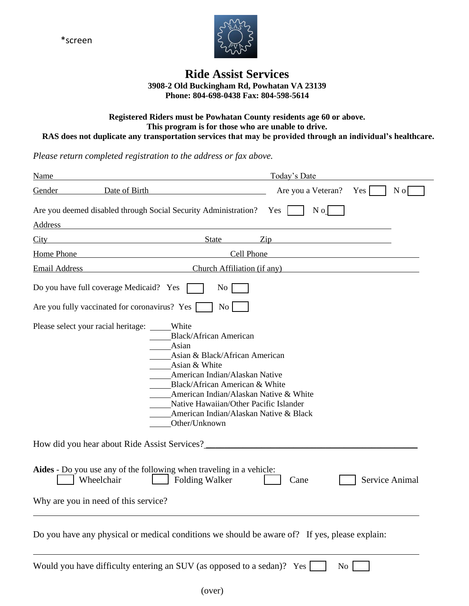\*screen



# **Ride Assist Services 3908-2 Old Buckingham Rd, Powhatan VA 23139 Phone: 804-698-0438 Fax: 804-598-5614**

#### **Registered Riders must be Powhatan County residents age 60 or above. This program is for those who are unable to drive. RAS does not duplicate any transportation services that may be provided through an individual's healthcare.**

*Please return completed registration to the address or fax above.*

| Name                 |                                                                                                                                                                                                                                                                                                                                                              |                             | Today's Date          |                |     |
|----------------------|--------------------------------------------------------------------------------------------------------------------------------------------------------------------------------------------------------------------------------------------------------------------------------------------------------------------------------------------------------------|-----------------------------|-----------------------|----------------|-----|
| Gender               | Date of Birth                                                                                                                                                                                                                                                                                                                                                |                             | Are you a Veteran?    | $Yes \mid$     | N o |
| Address              | Are you deemed disabled through Social Security Administration?                                                                                                                                                                                                                                                                                              |                             | N <sub>o</sub><br>Yes |                |     |
| City                 | <b>State</b>                                                                                                                                                                                                                                                                                                                                                 | Zip                         |                       |                |     |
| <b>Home Phone</b>    |                                                                                                                                                                                                                                                                                                                                                              | Cell Phone                  |                       |                |     |
| <b>Email Address</b> |                                                                                                                                                                                                                                                                                                                                                              | Church Affiliation (if any) |                       |                |     |
|                      | Do you have full coverage Medicaid? Yes<br>No                                                                                                                                                                                                                                                                                                                |                             |                       |                |     |
|                      | Are you fully vaccinated for coronavirus? Yes                                                                                                                                                                                                                                                                                                                | N <sub>o</sub>              |                       |                |     |
|                      | Please select your racial heritage:<br>White<br><b>Black/African American</b><br>Asian<br>Asian & Black/African American<br>Asian & White<br>American Indian/Alaskan Native<br>Black/African American & White<br>American Indian/Alaskan Native & White<br>Native Hawaiian/Other Pacific Islander<br>American Indian/Alaskan Native & Black<br>Other/Unknown |                             |                       |                |     |
|                      | How did you hear about Ride Assist Services?                                                                                                                                                                                                                                                                                                                 |                             |                       |                |     |
|                      | Aides - Do you use any of the following when traveling in a vehicle:<br>Wheelchair<br><b>Folding Walker</b>                                                                                                                                                                                                                                                  |                             | Cane                  | Service Animal |     |
|                      | Why are you in need of this service?                                                                                                                                                                                                                                                                                                                         |                             |                       |                |     |
|                      | Do you have any physical or medical conditions we should be aware of? If yes, please explain:                                                                                                                                                                                                                                                                |                             |                       |                |     |
|                      | Would you have difficulty entering an SUV (as opposed to a sedan)? Yes [                                                                                                                                                                                                                                                                                     |                             | N <sub>o</sub>        |                |     |